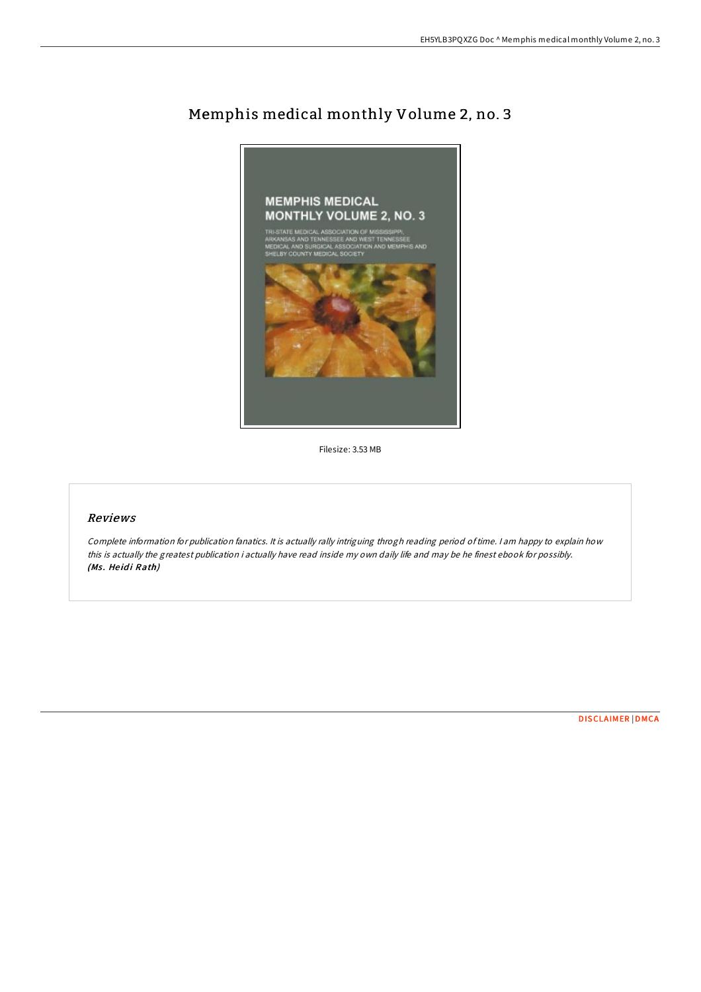

# Memphis medical monthly Volume 2, no. 3

Filesize: 3.53 MB

## Reviews

Complete information for publication fanatics. It is actually rally intriguing throgh reading period oftime. <sup>I</sup> am happy to explain how this is actually the greatest publication i actually have read inside my own daily life and may be he finest ebook for possibly. (Ms. Heidi Rath)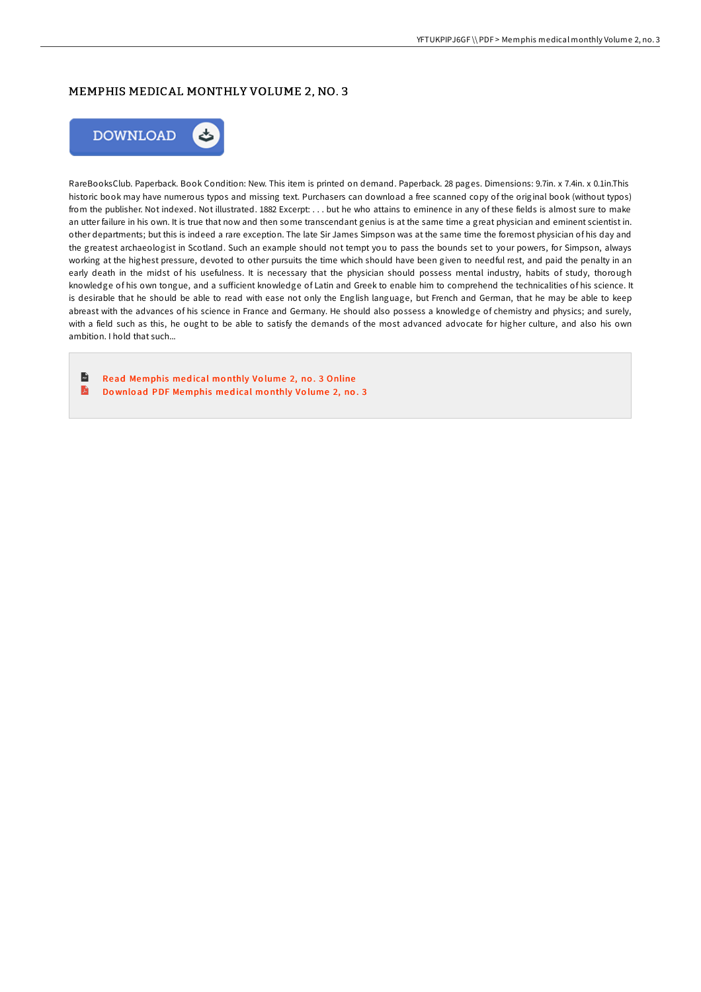### MEMPHIS MEDICAL MONTHLY VOLUME 2, NO. 3



RareBooksClub. Paperback. Book Condition: New. This item is printed on demand. Paperback. 28 pages. Dimensions: 9.7in. x 7.4in. x 0.1in.This historic book may have numerous typos and missing text. Purchasers can download a free scanned copy of the original book (without typos) from the publisher. Not indexed. Not illustrated. 1882 Excerpt: . . . but he who attains to eminence in any of these fields is almost sure to make an utter failure in his own. It is true that now and then some transcendant genius is at the same time a great physician and eminent scientist in. other departments; but this is indeed a rare exception. The late Sir James Simpson was at the same time the foremost physician of his day and the greatest archaeologist in Scotland. Such an example should not tempt you to pass the bounds set to your powers, for Simpson, always working at the highest pressure, devoted to other pursuits the time which should have been given to needful rest, and paid the penalty in an early death in the midst of his usefulness. It is necessary that the physician should possess mental industry, habits of study, thorough knowledge of his own tongue, and a suFicient knowledge of Latin and Greek to enable him to comprehend the technicalities of his science. It is desirable that he should be able to read with ease not only the English language, but French and German, that he may be able to keep abreast with the advances of his science in France and Germany. He should also possess a knowledge of chemistry and physics; and surely, with a field such as this, he ought to be able to satisfy the demands of the most advanced advocate for higher culture, and also his own ambition. I hold that such...

 $\overline{\mathbf{m}}$ Read [Memphis](http://almighty24.tech/memphis-medical-monthly-volume-2-no-3.html) med ical mo nthly Vo lume 2, no . 3 Online D Do wnlo ad PDF [Memphis](http://almighty24.tech/memphis-medical-monthly-volume-2-no-3.html) med ical mo nthly Vo lume 2, no . 3